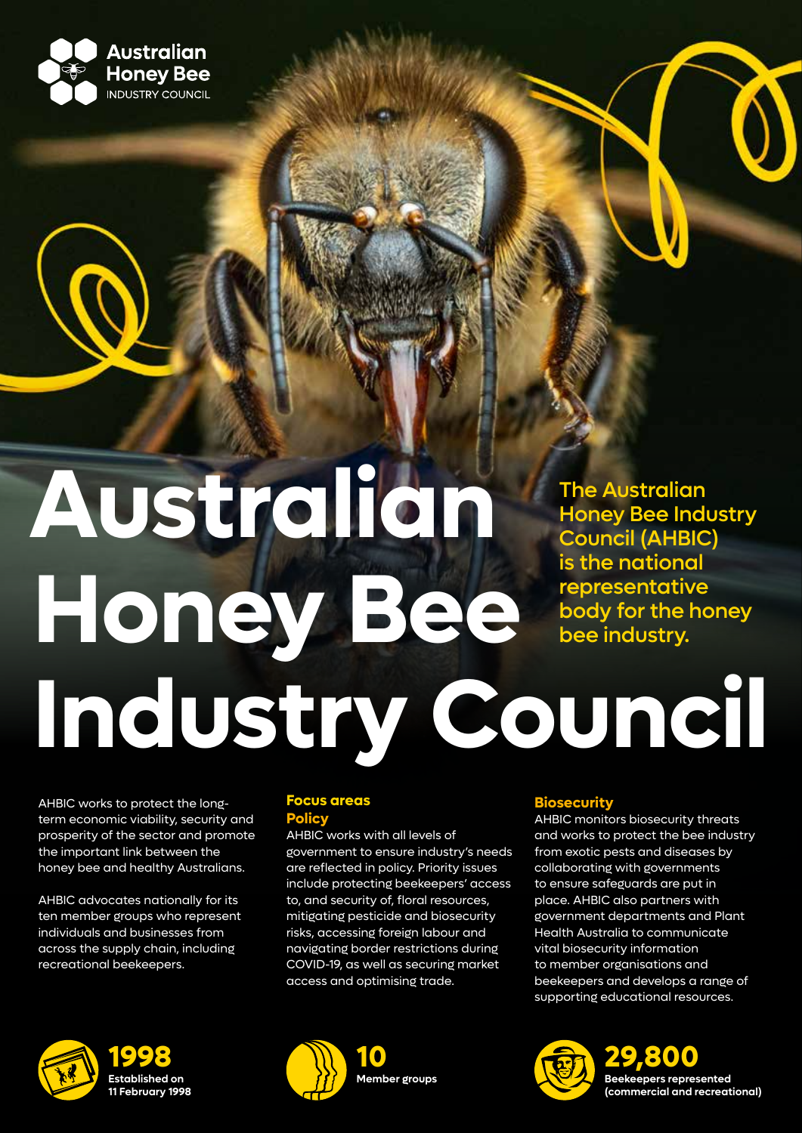

# The Australian Honey Bee Industry Council (AHBIC) is the national representative body for the honey bee industry. **Australian Honey Bee Industry Council**

AHBIC works to protect the longterm economic viability, security and prosperity of the sector and promote the important link between the honey bee and healthy Australians.

AHBIC advocates nationally for its ten member groups who represent individuals and businesses from across the supply chain, including recreational beekeepers.



## **Focus areas Policy**

AHBIC works with all levels of government to ensure industry's needs are reflected in policy. Priority issues include protecting beekeepers' access to, and security of, floral resources, mitigating pesticide and biosecurity risks, accessing foreign labour and navigating border restrictions during COVID-19, as well as securing market access and optimising trade.



# **Biosecurity**

AHBIC monitors biosecurity threats and works to protect the bee industry from exotic pests and diseases by collaborating with governments to ensure safeguards are put in place. AHBIC also partners with government departments and Plant Health Australia to communicate vital biosecurity information to member organisations and beekeepers and develops a range of supporting educational resources.